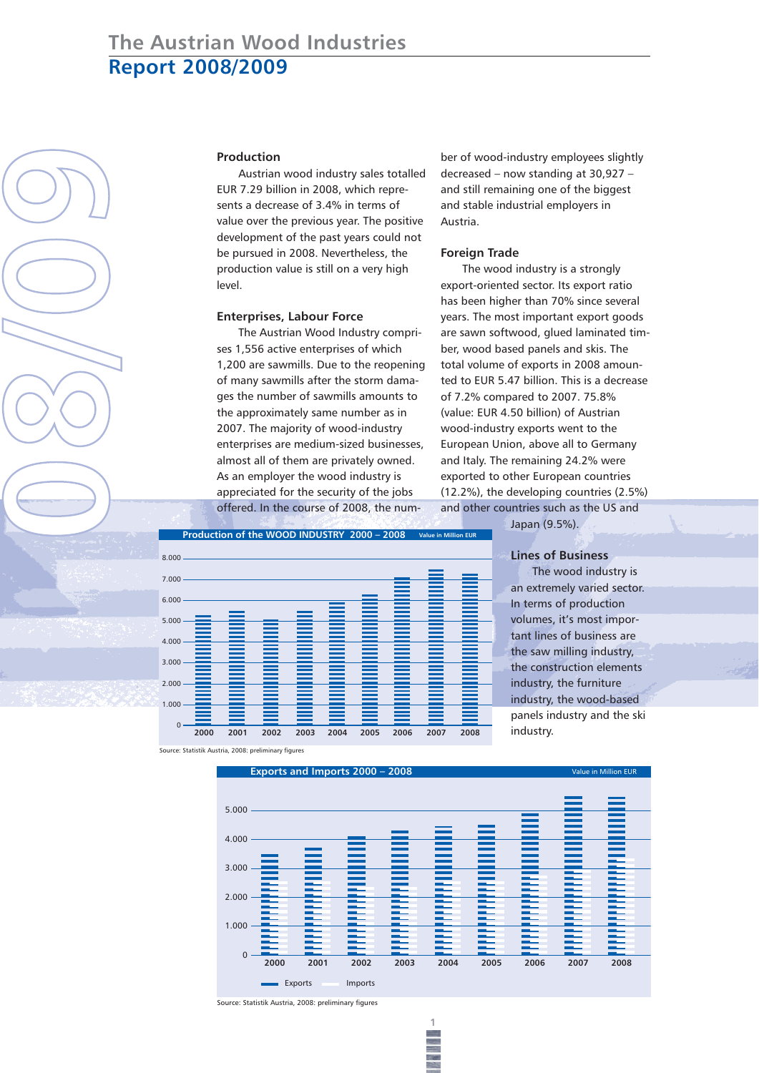## **Production**

Austrian wood industry sales totalled EUR 7.29 billion in 2008, which represents a decrease of 3.4% in terms of value over the previous year. The positive development of the past years could not be pursued in 2008. Nevertheless, the production value is still on a very high level.

### **Enterprises, Labour Force**

The Austrian Wood Industry comprises 1,556 active enterprises of which 1,200 are sawmills. Due to the reopening of many sawmills after the storm damages the number of sawmills amounts to the approximately same number as in 2007. The majority of wood-industry enterprises are medium-sized businesses, almost all of them are privately owned. As an employer the wood industry is appreciated for the security of the jobs offered. In the course of 2008, the number of wood-industry employees slightly decreased – now standing at 30,927 – and still remaining one of the biggest and stable industrial employers in Austria.

## **Foreign Trade**

The wood industry is a strongly export-oriented sector. Its export ratio has been higher than 70% since several years. The most important export goods are sawn softwood, glued laminated timber, wood based panels and skis. The total volume of exports in 2008 amounted to EUR 5.47 billion. This is a decrease of 7.2% compared to 2007. 75.8% (value: EUR 4.50 billion) of Austrian wood-industry exports went to the European Union, above all to Germany and Italy. The remaining 24.2% were exported to other European countries (12.2%), the developing countries (2.5%) and other countries such as the US and



Japan (9.5%).

# **Lines of Business**

The wood industry is an extremely varied sector. In terms of production volumes, it's most important lines of business are the saw milling industry, the construction elements industry, the furniture industry, the wood-based panels industry and the ski industry.

Source: Statistik Austria, 2008: preliminary figures

**0**

**8**

**/**

**0**

**9**



**1**

Source: Statistik Austria, 2008: preliminary figures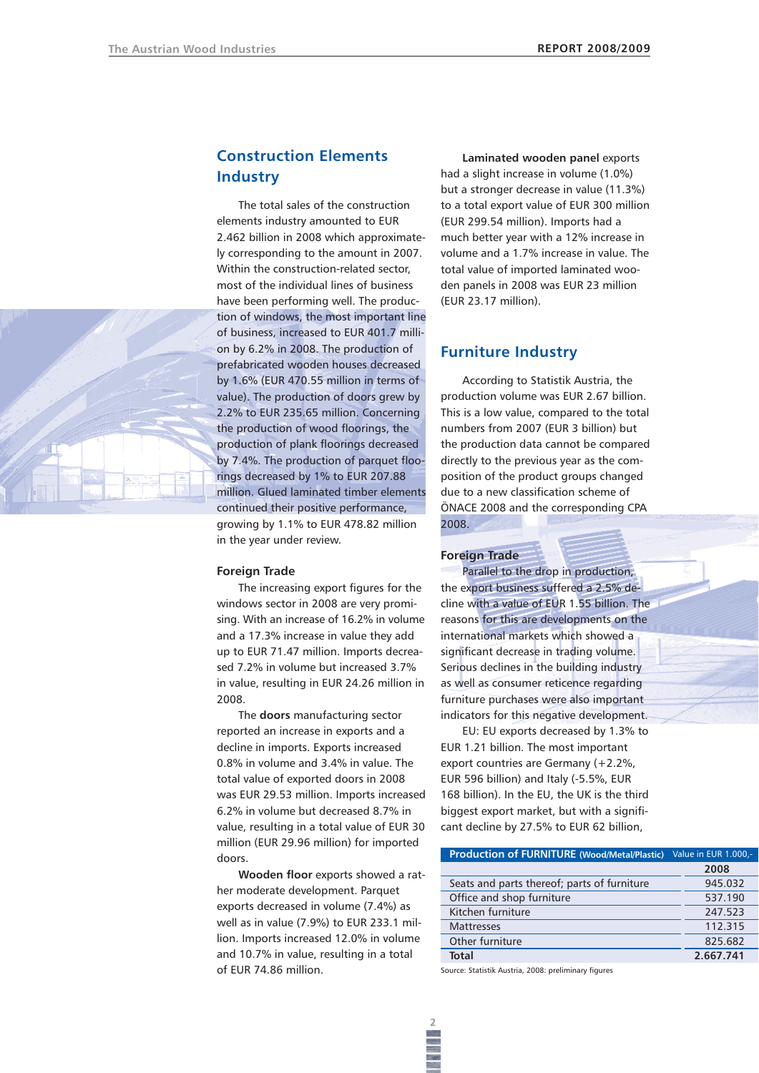# **Construction Elements Industry**

The total sales of the construction elements industry amounted to EUR 2.462 billion in 2008 which approximately corresponding to the amount in 2007. Within the construction-related sector, most of the individual lines of business have been performing well. The production of windows, the most important line of business, increased to EUR 401.7 million by 6.2% in 2008. The production of prefabricated wooden houses decreased by 1.6% (EUR 470.55 million in terms of value). The production of doors grew by 2.2% to EUR 235.65 million. Concerning the production of wood floorings, the production of plank floorings decreased by 7.4%. The production of parquet floorings decreased by 1% to EUR 207.88 million. Glued laminated timber elements continued their positive performance, growing by 1.1% to EUR 478.82 million in the year under review.

#### **Foreign Trade**

The increasing export figures for the windows sector in 2008 are very promising. With an increase of 16.2% in volume and a 17.3% increase in value they add up to EUR 71.47 million. Imports decreased 7.2% in volume but increased 3.7% in value, resulting in EUR 24.26 million in 2008.

The **doors** manufacturing sector reported an increase in exports and a decline in imports. Exports increased 0.8% in volume and 3.4% in value. The total value of exported doors in 2008 was EUR 29.53 million. Imports increased 6.2% in volume but decreased 8.7% in value, resulting in a total value of EUR 30 million (EUR 29.96 million) for imported doors.

**Wooden floor** exports showed a rather moderate development. Parquet exports decreased in volume (7.4%) as well as in value (7.9%) to EUR 233.1 million. Imports increased 12.0% in volume and 10.7% in value, resulting in a total of EUR 74.86 million.

**Laminated wooden panel** exports had a slight increase in volume (1.0%) but a stronger decrease in value (11.3%) to a total export value of EUR 300 million (EUR 299.54 million). Imports had a much better year with a 12% increase in volume and a 1.7% increase in value. The total value of imported laminated wooden panels in 2008 was EUR 23 million (EUR 23.17 million).

# **Furniture Industry**

According to Statistik Austria, the production volume was EUR 2.67 billion. This is a low value, compared to the total numbers from 2007 (EUR 3 billion) but the production data cannot be compared directly to the previous year as the composition of the product groups changed due to a new classification scheme of ÖNACE 2008 and the corresponding CPA 2008.

#### **Foreign Trade**

Parallel to the drop in production, the export business suffered a 2.5% decline with a value of EUR 1.55 billion. The reasons for this are developments on the international markets which showed a significant decrease in trading volume. Serious declines in the building industry as well as consumer reticence regarding furniture purchases were also important indicators for this negative development.

EU: EU exports decreased by 1.3% to EUR 1.21 billion. The most important export countries are Germany (+2.2%, EUR 596 billion) and Italy (-5.5%, EUR 168 billion). In the EU, the UK is the third biggest export market, but with a significant decline by 27.5% to EUR 62 billion,

| <b>Production of FURNITURE (Wood/Metal/Plastic)</b> | Value in EUR 1.000,- |
|-----------------------------------------------------|----------------------|
|                                                     | 2008                 |
| Seats and parts thereof; parts of furniture         | 945.032              |
| Office and shop furniture                           | 537.190              |
| Kitchen furniture                                   | 247.523              |
| <b>Mattresses</b>                                   | 112.315              |
| Other furniture                                     | 825.682              |
| Total                                               | 2.667.741            |

Source: Statistik Austria, 2008: preliminary figures

**2**

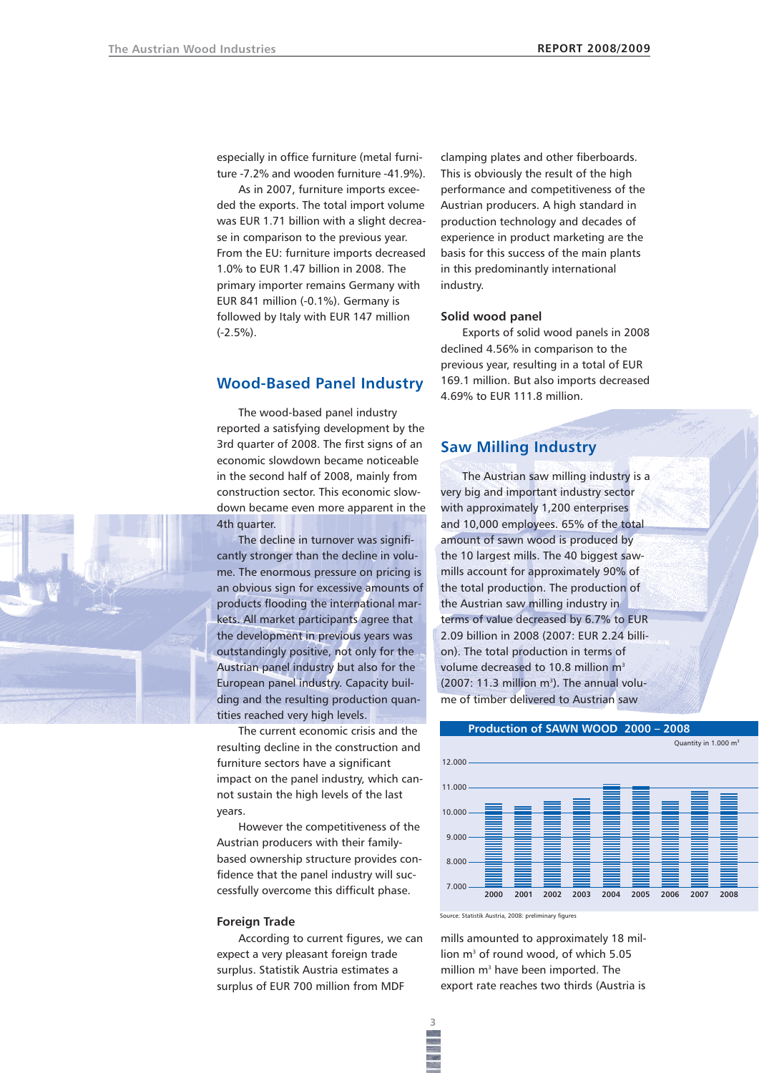especially in office furniture (metal furniture -7.2% and wooden furniture -41.9%).

As in 2007, furniture imports exceeded the exports. The total import volume was EUR 1.71 billion with a slight decrease in comparison to the previous year. From the EU: furniture imports decreased 1.0% to EUR 1.47 billion in 2008. The primary importer remains Germany with EUR 841 million (-0.1%). Germany is followed by Italy with EUR 147 million (-2.5%).

# **Wood-Based Panel Industry**

The wood-based panel industry reported a satisfying development by the 3rd quarter of 2008. The first signs of an economic slowdown became noticeable in the second half of 2008, mainly from construction sector. This economic slowdown became even more apparent in the 4th quarter.

The decline in turnover was significantly stronger than the decline in volume. The enormous pressure on pricing is an obvious sign for excessive amounts of products flooding the international markets. All market participants agree that the development in previous years was outstandingly positive, not only for the Austrian panel industry but also for the European panel industry. Capacity building and the resulting production quantities reached very high levels.

The current economic crisis and the resulting decline in the construction and furniture sectors have a significant impact on the panel industry, which cannot sustain the high levels of the last years.

However the competitiveness of the Austrian producers with their familybased ownership structure provides confidence that the panel industry will successfully overcome this difficult phase.

#### **Foreign Trade**

According to current figures, we can expect a very pleasant foreign trade surplus. Statistik Austria estimates a surplus of EUR 700 million from MDF

clamping plates and other fiberboards. This is obviously the result of the high performance and competitiveness of the Austrian producers. A high standard in production technology and decades of experience in product marketing are the basis for this success of the main plants in this predominantly international industry.

### **Solid wood panel**

Exports of solid wood panels in 2008 declined 4.56% in comparison to the previous year, resulting in a total of EUR 169.1 million. But also imports decreased 4.69% to EUR 111.8 million.

# **Saw Milling Industry**

The Austrian saw milling industry is a very big and important industry sector with approximately 1,200 enterprises and 10,000 employees. 65% of the total amount of sawn wood is produced by the 10 largest mills. The 40 biggest sawmills account for approximately 90% of the total production. The production of the Austrian saw milling industry in terms of value decreased by 6.7% to EUR 2.09 billion in 2008 (2007: EUR 2.24 billion). The total production in terms of volume decreased to 10.8 million m<sup>3</sup>  $(2007: 11.3$  million m<sup>3</sup>). The annual volume of timber delivered to Austrian saw



mills amounted to approximately 18 million m<sup>3</sup> of round wood, of which 5.05 million m<sup>3</sup> have been imported. The export rate reaches two thirds (Austria is

**3**